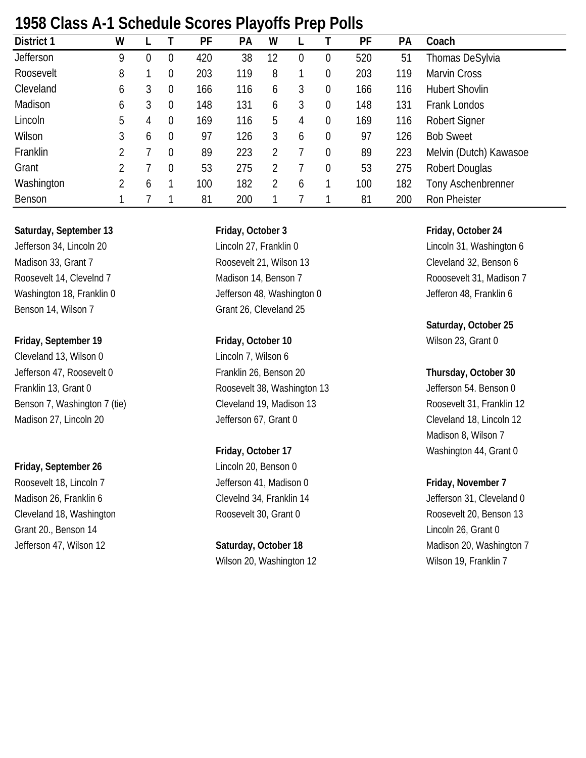| 1700 CIASS AT LOCHEQUIE OCULES FIAVUITS FIED FUILS |   |          |                  |     |     |    |   |                  |     |     |                        |  |  |
|----------------------------------------------------|---|----------|------------------|-----|-----|----|---|------------------|-----|-----|------------------------|--|--|
| District 1                                         | W |          |                  | PF  | PA  | W  |   |                  | PF  | PA  | Coach                  |  |  |
| Jefferson                                          | 9 | $\theta$ | $\overline{0}$   | 420 | 38  | 12 | 0 | 0                | 520 | 51  | Thomas DeSylvia        |  |  |
| Roosevelt                                          | 8 |          | $\overline{0}$   | 203 | 119 | 8  |   | $\boldsymbol{0}$ | 203 | 119 | <b>Marvin Cross</b>    |  |  |
| Cleveland                                          | 6 | 3        | $\overline{0}$   | 166 | 116 | 6  | 3 | $\mathbf 0$      | 166 | 116 | <b>Hubert Shovlin</b>  |  |  |
| Madison                                            | 6 | 3        | $\boldsymbol{0}$ | 148 | 131 | 6  | 3 | $\mathbf 0$      | 148 | 131 | Frank Londos           |  |  |
| Lincoln                                            | 5 | 4        | $\overline{0}$   | 169 | 116 | 5  | 4 | $\mathbf 0$      | 169 | 116 | <b>Robert Signer</b>   |  |  |
| Wilson                                             | 3 | 6        | $\overline{0}$   | 97  | 126 | 3  | 6 | $\overline{0}$   | 97  | 126 | <b>Bob Sweet</b>       |  |  |
| Franklin                                           | 2 |          | $\theta$         | 89  | 223 | 2  |   | $\overline{0}$   | 89  | 223 | Melvin (Dutch) Kawasoe |  |  |
| Grant                                              | 2 |          | $\Omega$         | 53  | 275 |    |   | $\mathbf 0$      | 53  | 275 | Robert Douglas         |  |  |
| Washington                                         | 2 | b        |                  | 100 | 182 | 2  | 6 |                  | 100 | 182 | Tony Aschenbrenner     |  |  |
| Benson                                             |   |          |                  | 81  | 200 |    |   |                  | 81  | 200 | Ron Pheister           |  |  |

## **1958 Class A-1 Schedule Scores Playoffs Prep Polls**

### **Saturday, September 13 Friday, October 3 Friday, October 24**

Benson 14, Wilson 7 Grant 26, Cleveland 25

### **Friday, September 19 Friday, October 10** Wilson 23, Grant 0

Cleveland 13, Wilson 0 Lincoln 7, Wilson 6

### **Friday, September 26** Lincoln 20, Benson 0

Roosevelt 18, Lincoln 7 **Jefferson 41, Madison 0 Friday, November 7** Grant 20., Benson 14 Lincoln 26, Grant 0

Jefferson 34, Lincoln 20 Lincoln 27, Franklin 0 Lincoln 31, Washington 6 Madison 33, Grant 7 The State of Roosevelt 21, Wilson 13 Cleveland 32, Benson 6 Roosevelt 14, Clevelnd 7 The Madison 14, Benson 7 The Roosevelt 31, Madison 7 The Roosevelt 31, Madison 7 Washington 18, Franklin 0 Jefferson 48, Washington 0 Jefferson 48, Franklin 6

Jefferson 47, Roosevelt 0 Franklin 26, Benson 20 **Thursday, October 30** Franklin 13, Grant 0 Roosevelt 38, Washington 13 Jefferson 54. Benson 0 Benson 7, Washington 7 (tie) Cleveland 19, Madison 13 Roosevelt 31, Franklin 12 Madison 27, Lincoln 20 **Start 20** Jefferson 67, Grant 0 Cleveland 18, Lincoln 12

# Wilson 20, Washington 12 Wilson 19, Franklin 7

# **Saturday, October 25**

Madison 8, Wilson 7 **Friday, October 17** Washington 44, Grant 0

Madison 26, Franklin 6 Clevelnd 34, Franklin 14 Jefferson 31, Cleveland 0 Cleveland 18, Washington **Roosevelt 30, Grant 0** Roosevelt 20, Benson 13 Jefferson 47, Wilson 12 **Saturday, October 18** Madison 20, Washington 7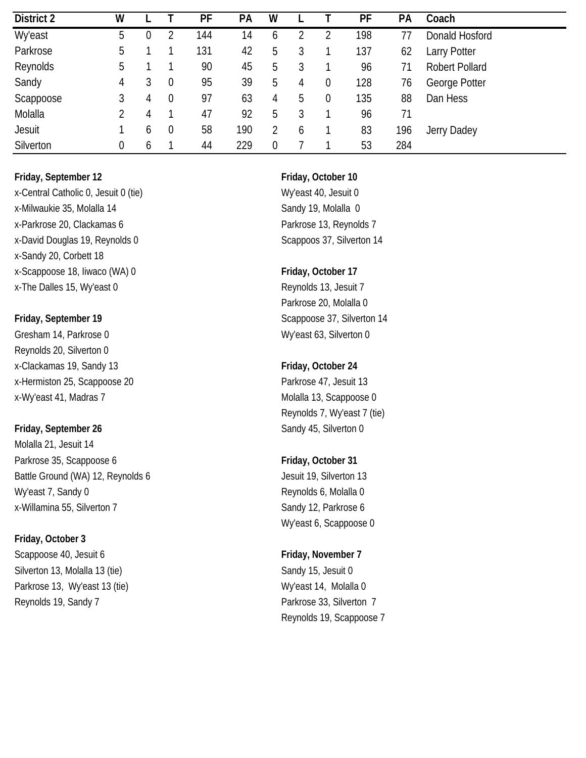| District 2     | W           |   |                  | PF  | <b>PA</b> | W |   |                  | PF  | PA  | Coach                 |
|----------------|-------------|---|------------------|-----|-----------|---|---|------------------|-----|-----|-----------------------|
| <b>Wy'east</b> | 5           | 0 |                  | 144 | 14        | b |   |                  | 198 |     | Donald Hosford        |
| Parkrose       | 5           |   |                  | 131 | 42        | b |   |                  | 137 | 62  | <b>Larry Potter</b>   |
| Reynolds       | 5           |   |                  | 90  | 45        | b |   |                  | 96  | 71  | <b>Robert Pollard</b> |
| Sandy          | 4           | 3 | $\boldsymbol{0}$ | 95  | 39        | b | 4 | $\boldsymbol{0}$ | 128 | 76  | George Potter         |
| Scappoose      | 3           | 4 | $\boldsymbol{0}$ | 97  | 63        | 4 | b | $\boldsymbol{0}$ | 135 | 88  | Dan Hess              |
| Molalla        | 2           | 4 |                  | 47  | 92        | 5 |   |                  | 96  | 71  |                       |
| <b>Jesuit</b>  |             | 6 | $\boldsymbol{0}$ | 58  | 190       | 2 | b |                  | 83  | 196 | Jerry Dadey           |
| Silverton      | $\mathbf 0$ | b |                  | 44  | 229       | 0 |   |                  | 53  | 284 |                       |

x-Central Catholic 0, Jesuit 0 (tie) Wy'east 40, Jesuit 0 x-Milwaukie 35, Molalla 14 Sandy 19, Molalla 0 x-Parkrose 20, Clackamas 6 Parkrose 13, Reynolds 7 x-David Douglas 19, Reynolds 0 Scappoos 37, Silverton 14 x-Sandy 20, Corbett 18 x-Scappoose 18, Iiwaco (WA) 0 **Friday, October 17** x-The Dalles 15, Wy'east 0 Reynolds 13, Jesuit 7

Gresham 14, Parkrose 0 Wy'east 63, Silverton 0 Reynolds 20, Silverton 0 x-Clackamas 19, Sandy 13 **Friday, October 24** x-Hermiston 25, Scappoose 20 Parkrose 47, Jesuit 13 x-Wy'east 41, Madras 7 Molalla 13, Scappoose 0

Molalla 21, Jesuit 14 Parkrose 35, Scappoose 6 **Friday**, October 31 Battle Ground (WA) 12, Reynolds 6 Jesuit 19, Silverton 13 Wy'east 7, Sandy 0 **Reynolds 6, Molalla 0** x-Willamina 55, Silverton 7 Sandy 12, Parkrose 6

### **Friday, October 3**

Scappoose 40, Jesuit 6 **Friday, November 7 Friday, November 7** Silverton 13, Molalla 13 (tie) Silverton 13, Molalla 13 (tie) Sandy 15, Jesuit 0 Parkrose 13, Wy'east 13 (tie) My'east 14, Molalla 0 Reynolds 19, Sandy 7 Parkrose 33, Silverton 7

Parkrose 20, Molalla 0 **Friday, September 19** Scappoose 37, Silverton 14

Reynolds 7, Wy'east 7 (tie) **Friday, September 26** Sandy 45, Silverton 0

Wy'east 6, Scappoose 0

Reynolds 19, Scappoose 7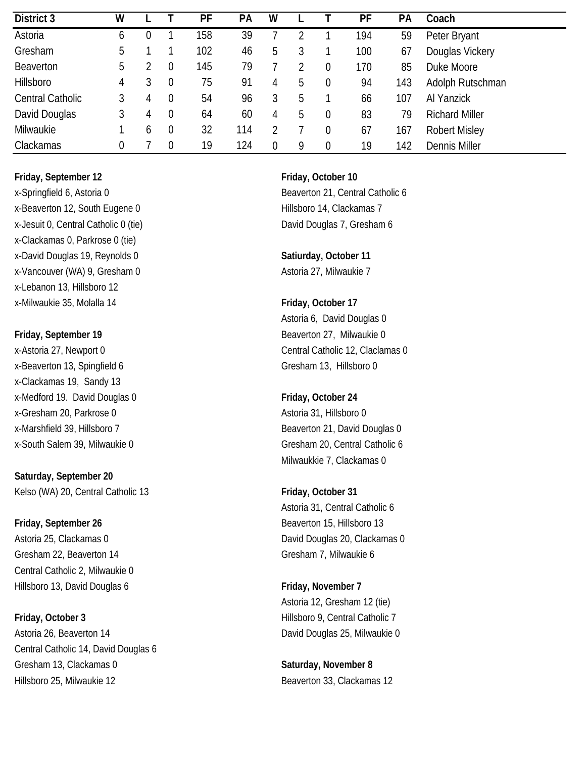| District 3              | W |   |                | PF  | PA  | W |   |                | PF  | PA  | Coach                 |
|-------------------------|---|---|----------------|-----|-----|---|---|----------------|-----|-----|-----------------------|
| Astoria                 | 6 |   |                | 158 | 39  |   |   |                | 194 | 59  | Peter Bryant          |
| Gresham                 | 5 |   |                | 102 | 46  | b |   |                | 100 | 67  | Douglas Vickery       |
| <b>Beaverton</b>        | b |   |                | 145 | 79  |   |   | 0              | 170 | 85  | Duke Moore            |
| Hillsboro               | 4 | 3 | 0              | 75  | 91  | 4 | b | 0              | 94  | 143 | Adolph Rutschman      |
| <b>Central Catholic</b> | 3 | 4 | $\theta$       | 54  | 96  | 3 | 5 |                | 66  | 107 | Al Yanzick            |
| David Douglas           | 3 | 4 | $\overline{0}$ | 64  | 60  | 4 | 5 | 0              | 83  | 79  | <b>Richard Miller</b> |
| Milwaukie               |   | b | $\overline{0}$ | 32  | 114 |   |   | $\overline{0}$ | 67  | 167 | <b>Robert Misley</b>  |
| Clackamas               | 0 |   |                | 19  | 124 |   | Q | $\overline{0}$ | 19  | 142 | <b>Dennis Miller</b>  |

x-Springfield 6, Astoria 0 Beaverton 21, Central Catholic 6 x-Beaverton 12, South Eugene 0 Hillsboro 14, Clackamas 7 x-Jesuit 0, Central Catholic 0 (tie) David Douglas 7, Gresham 6 x-Clackamas 0, Parkrose 0 (tie) x-David Douglas 19, Reynolds 0 **Satiurday, October 11** x-Vancouver (WA) 9, Gresham 0 Astoria 27, Milwaukie 7 x-Lebanon 13, Hillsboro 12 x-Milwaukie 35, Molalla 14 **Friday, October 17**

x-Beaverton 13, Spingfield 6 Gresham 13, Hillsboro 0 x-Clackamas 19, Sandy 13 x-Medford 19. David Douglas 0 **Friday, October 24** x-Gresham 20, Parkrose 0 Astoria 31, Hillsboro 0 x-Marshfield 39, Hillsboro 7 and Euclidean Beaverton 21, David Douglas 0

**Saturday, September 20** Kelso (WA) 20, Central Catholic 13 **Friday, October 31** 

## **Friday, September 26 Beaverton 15, Hillsboro 13** Gresham 22, Beaverton 14 Gresham 7, Milwaukie 6 Central Catholic 2, Milwaukie 0 Hillsboro 13, David Douglas 6 **Friday, November 7**

**Friday, October 3 Hillsboro 9, Central Catholic 7** Astoria 26, Beaverton 14 **David Douglas 25, Milwaukie 0** Central Catholic 14, David Douglas 6 Gresham 13, Clackamas 0 **Saturday, November 8** Saturday, November 8 Hillsboro 25, Milwaukie 12 Beaverton 33, Clackamas 12

Astoria 6, David Douglas 0 **Friday, September 19** Beaverton 27, Milwaukie 0 x-Astoria 27, Newport 0 central Catholic 12, Claclamas 0

x-South Salem 39, Milwaukie 0 Gresham 20, Central Catholic 6 Milwaukkie 7, Clackamas 0

Astoria 31, Central Catholic 6 Astoria 25, Clackamas 0 David Douglas 20, Clackamas 0

Astoria 12, Gresham 12 (tie)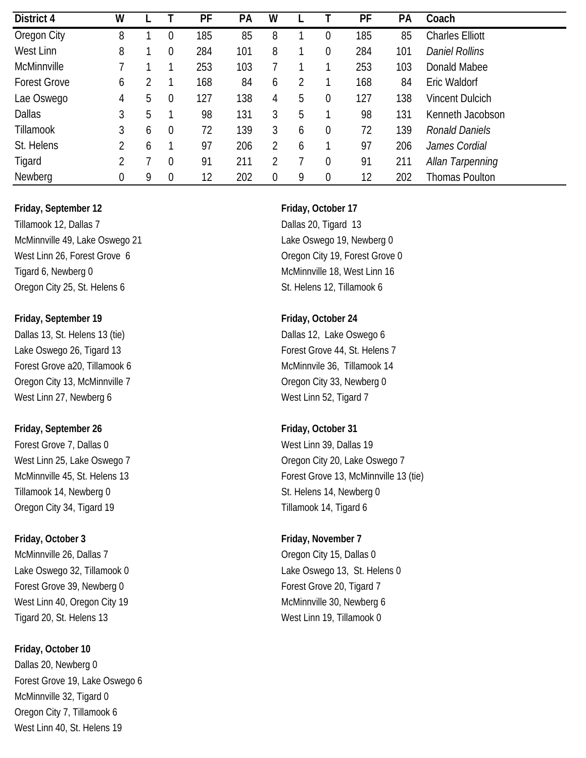| District 4          | W |   |                | PF  | PA  | W |   |             | PF  | PA  | Coach                   |
|---------------------|---|---|----------------|-----|-----|---|---|-------------|-----|-----|-------------------------|
| Oregon City         | 8 |   | 0              | 185 | 85  | 8 |   | 0           | 185 | 85  | <b>Charles Elliott</b>  |
| West Linn           | 8 |   | $\overline{0}$ | 284 | 101 | 8 |   | 0           | 284 | 101 | <b>Daniel Rollins</b>   |
| McMinnville         |   |   |                | 253 | 103 |   |   |             | 253 | 103 | Donald Mabee            |
| <b>Forest Grove</b> | 6 |   |                | 168 | 84  | 6 |   |             | 168 | 84  | Eric Waldorf            |
| Lae Oswego          | 4 | 5 | $\overline{0}$ | 127 | 138 | 4 | 5 | 0           | 127 | 138 | <b>Vincent Dulcich</b>  |
| <b>Dallas</b>       | 3 | 5 |                | 98  | 131 | 3 | 5 |             | 98  | 131 | Kenneth Jacobson        |
| Tillamook           | 3 | 6 | $\overline{0}$ | 72  | 139 | 3 | 6 | $\mathbf 0$ | 72  | 139 | <b>Ronald Daniels</b>   |
| St. Helens          | 2 | 6 |                | 97  | 206 | 2 | 6 |             | 97  | 206 | James Cordial           |
| Tigard              | 2 |   | $\theta$       | 91  | 211 |   |   | 0           | 91  | 211 | <b>Allan Tarpenning</b> |
| Newberg             | 0 | 9 | $\overline{0}$ | 12  | 202 | 0 | 9 | 0           | 12  | 202 | <b>Thomas Poulton</b>   |

Tillamook 12, Dallas 7 Dallas 20, Tigard 13 McMinnville 49, Lake Oswego 21 Lake Oswego 19, Newberg 0 West Linn 26, Forest Grove 6 Contract Contract Contract Contract Contract Oregon City 19, Forest Grove 0 Tigard 6, Newberg 0 **McMinnville 18**, West Linn 16 Oregon City 25, St. Helens 6 St. Helens 12, Tillamook 6

**Friday, September 19 Friday, October 24** Dallas 13, St. Helens 13 (tie) Dallas 12, Lake Oswego 6 Lake Oswego 26, Tigard 13 Forest Grove 44, St. Helens 7 Forest Grove a20, Tillamook 6 McMinnvile 36, Tillamook 14 Oregon City 13, McMinnville 7 Coregon City 33, Newberg 0 West Linn 27, Newberg 6 West Linn 52, Tigard 7

### **Friday, September 26 Friday, October 31**

Forest Grove 7, Dallas 0 West Linn 39, Dallas 19 Tillamook 14, Newberg 0 St. Helens 14, Newberg 0 Oregon City 34, Tigard 19 Tillamook 14, Tigard 6

**Friday, October 3 Friday, November 7** McMinnville 26, Dallas 7 Channel 20, 2012 15, Dallas 0 Forest Grove 39, Newberg 0 Forest Grove 20, Tigard 7 West Linn 40, Oregon City 19 McMinnville 30, Newberg 6

**Friday, October 10** Dallas 20, Newberg 0 Forest Grove 19, Lake Oswego 6 McMinnville 32, Tigard 0 Oregon City 7, Tillamook 6 West Linn 40, St. Helens 19

West Linn 25, Lake Oswego 7 Contract Contract Contract Contract City 20, Lake Oswego 7 McMinnville 45, St. Helens 13 **Forest Grove 13, McMinnville 13 (tie)** 

Lake Oswego 32, Tillamook 0 Lake Oswego 13, St. Helens 0 Tigard 20, St. Helens 13 West Linn 19, Tillamook 0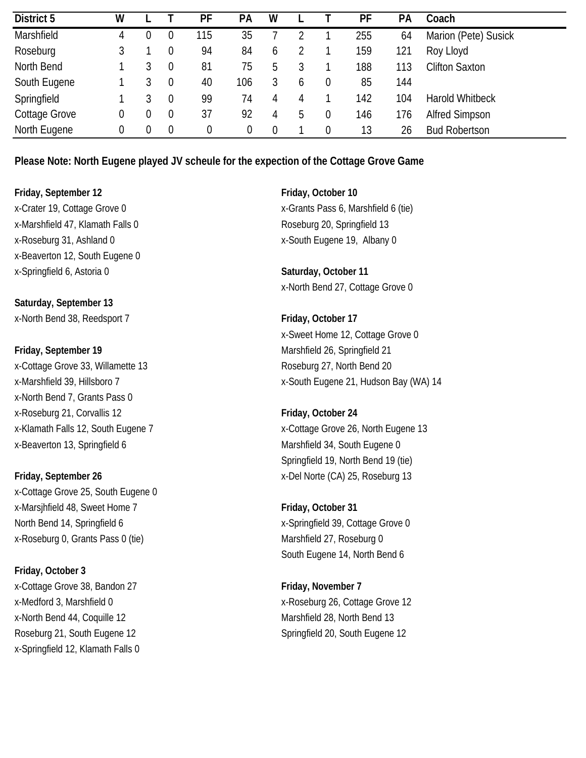| District 5    | W           |   |                | PF  | <b>PA</b> | W |   |                | PF  | PA  | Coach                  |
|---------------|-------------|---|----------------|-----|-----------|---|---|----------------|-----|-----|------------------------|
| Marshfield    | 4           | 0 |                | 115 | 35        |   |   |                | 255 | 64  | Marion (Pete) Susick   |
| Roseburg      |             |   |                | 94  | 84        | 6 |   |                | 159 | 121 | Roy Lloyd              |
| North Bend    |             |   |                | 81  | 75        | 5 |   |                | 188 | 113 | <b>Clifton Saxton</b>  |
| South Eugene  |             |   | 0              | 40  | 106       |   | b | 0              | 85  | 144 |                        |
| Springfield   |             | 3 | $\overline{0}$ | 99  | 74        | 4 | 4 |                | 142 | 104 | <b>Harold Whitbeck</b> |
| Cottage Grove | 0           | 0 | 0              | 37  | 92        | 4 | 5 | $\theta$       | 146 | 176 | <b>Alfred Simpson</b>  |
| North Eugene  | $\mathbf 0$ | 0 | 0              | 0   |           | 0 |   | $\overline{0}$ | 13  | 26  | <b>Bud Robertson</b>   |

**Please Note: North Eugene played JV scheule for the expection of the Cottage Grove Game**

**Friday, September 12 Friday, October 10** x-Marshfield 47, Klamath Falls 0 Roseburg 20, Springfield 13 x-Roseburg 31, Ashland 0 x-South Eugene 19, Albany 0 x-Beaverton 12, South Eugene 0 x-Springfield 6, Astoria 0 **Saturday, October 11**

**Saturday, September 13** x-North Bend 38, Reedsport 7 **Friday, October 17**

**Friday, September 19** Marshfield 26, Springfield 21 x-Cottage Grove 33, Willamette 13 Roseburg 27, North Bend 20 x-North Bend 7, Grants Pass 0 x-Roseburg 21, Corvallis 12 **Friday, October 24** x-Beaverton 13, Springfield 6 Marshfield 34, South Eugene 0

**Friday, September 26** x-Del Norte (CA) 25, Roseburg 13 x-Cottage Grove 25, South Eugene 0 x-Marsjhfield 48, Sweet Home 7 **Friday, October 31** North Bend 14, Springfield 6 x-Springfield 39, Cottage Grove 0 x-Roseburg 0, Grants Pass 0 (tie) Marshfield 27, Roseburg 0

**Friday, October 3** x-Cottage Grove 38, Bandon 27 **Friday, November 7** x-North Bend 44, Coquille 12 Marshfield 28, North Bend 13 Roseburg 21, South Eugene 12 Springfield 20, South Eugene 12 x-Springfield 12, Klamath Falls 0

x-Crater 19, Cottage Grove 0 x-Grants Pass 6, Marshfield 6 (tie)

x-North Bend 27, Cottage Grove 0

x-Sweet Home 12, Cottage Grove 0 x-Marshfield 39, Hillsboro 7 x-South Eugene 21, Hudson Bay (WA) 14

x-Klamath Falls 12, South Eugene 7 x-Cottage Grove 26, North Eugene 13 Springfield 19, North Bend 19 (tie)

South Eugene 14, North Bend 6

x-Medford 3, Marshfield 0 x-Roseburg 26, Cottage Grove 12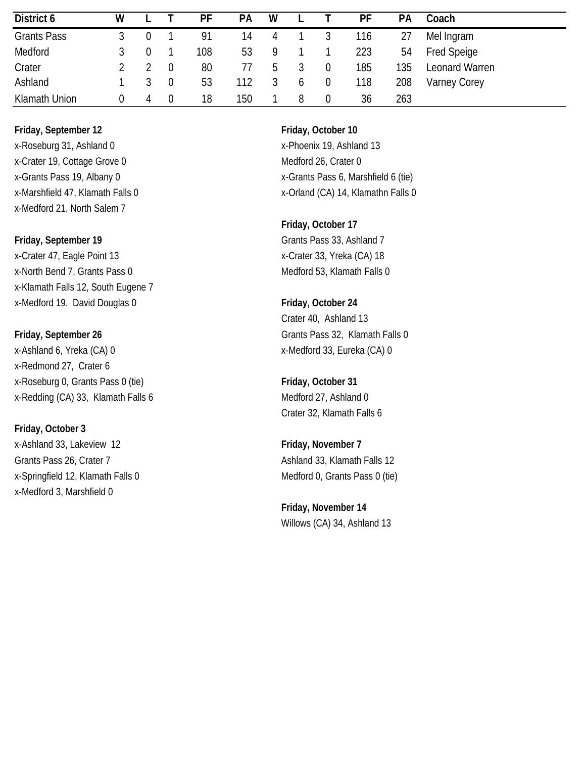| District 6         | W                |   |                | РF  | <b>PA</b> | W             |                | PF  | <b>PA</b> | Coach               |
|--------------------|------------------|---|----------------|-----|-----------|---------------|----------------|-----|-----------|---------------------|
| <b>Grants Pass</b> |                  |   |                | 91  | 14        | 4             | 3              | 116 | 27        | Mel Ingram          |
| Medford            |                  |   |                | 108 | 53        | 9             |                | 223 | 54        | Fred Speige         |
| Crater             |                  |   | 0              | 80  | 77        | $\mathfrak h$ | 0              | 185 | 135       | Leonard Warren      |
| Ashland            |                  |   | $\overline{0}$ | 53  | 12        |               | $\overline{0}$ | 118 | 208       | <b>Varney Corey</b> |
| Klamath Union      | $\left( \right)$ | 4 | $\theta$       | 18  | 150       |               | $\Omega$       | 36  | 263       |                     |

**Friday, September 12 Friday, October 10** x-Roseburg 31, Ashland 0 x-Phoenix 19, Ashland 13 x-Crater 19, Cottage Grove 0 Medford 26, Crater 0 x-Medford 21, North Salem 7

x-Crater 47, Eagle Point 13 x-Crater 33, Yreka (CA) 18 x-North Bend 7, Grants Pass 0 Medford 53, Klamath Falls 0 x-Klamath Falls 12, South Eugene 7 x-Medford 19. David Douglas 0 **Friday, October 24**

x-Ashland 6, Yreka (CA) 0 x-Medford 33, Eureka (CA) 0 x-Redmond 27, Crater 6 x-Roseburg 0, Grants Pass 0 (tie) **Friday, October 31** x-Redding (CA) 33, Klamath Falls 6 Medford 27, Ashland 0

**Friday, October 3**

x-Ashland 33, Lakeview 12 **Friday, November 7** Grants Pass 26, Crater 7 Ashland 33, Klamath Falls 12 x-Springfield 12, Klamath Falls 0 Medford 0, Grants Pass 0 (tie) x-Medford 3, Marshfield 0

x-Grants Pass 19, Albany 0 x-Grants Pass 6, Marshfield 6 (tie) x-Marshfield 47, Klamath Falls 0 x-Marshfield 47, Klamathn Falls 0

**Friday, October 17 Friday, September 19** Grants Pass 33, Ashland 7

Crater 40, Ashland 13 **Friday, September 26** Grants Pass 32, Klamath Falls 0

Crater 32, Klamath Falls 6

**Friday, November 14** Willows (CA) 34, Ashland 13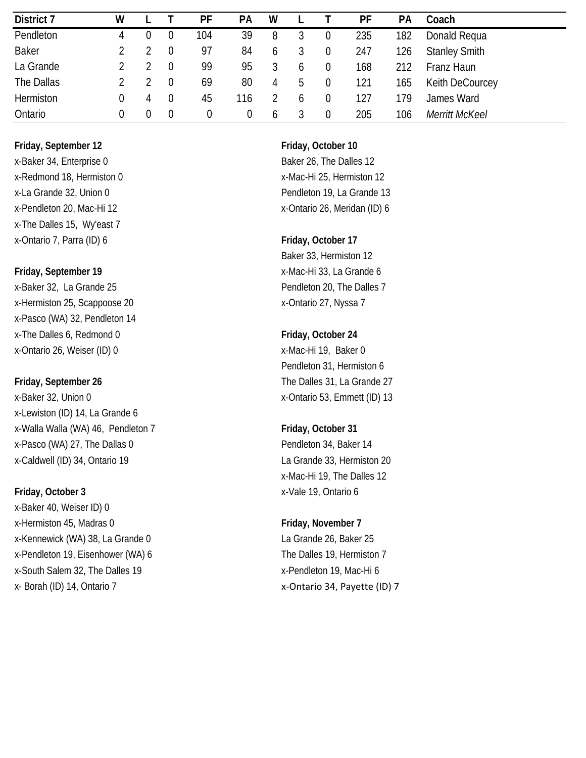| District 7       | W |   |                | PF  | <b>PA</b> | W            |   |                  | PF  | <b>PA</b> | Coach                 |
|------------------|---|---|----------------|-----|-----------|--------------|---|------------------|-----|-----------|-----------------------|
| Pendleton        |   |   | $\overline{0}$ | 104 | 39        | 8            |   | $\boldsymbol{0}$ | 235 | 182       | Donald Requa          |
| <b>Baker</b>     |   |   |                | 97  | 84        | b            |   | $\overline{0}$   | 247 | 126       | <b>Stanley Smith</b>  |
| La Grande        |   |   | $\overline{0}$ | 99  | 95        |              |   | 0                | 168 | 212       | Franz Haun            |
| The Dallas       |   |   |                | 69  | 80        | 4            | C | $\boldsymbol{0}$ | 121 | 165       | Keith DeCourcey       |
| <b>Hermiston</b> | 0 | 4 | $\overline{0}$ | 45  | 116       |              | h | 0                | 127 | 179       | James Ward            |
| Ontario          | 0 | 0 | 0              | 0   |           | <sub>0</sub> |   | $\Omega$         | 205 | 106       | <b>Merritt McKeel</b> |

x-Baker 34, Enterprise 0 Baker 26, The Dalles 12 x-Redmond 18, Hermiston 0 x-Mac-Hi 25, Hermiston 12 x-The Dalles 15, Wy'east 7 x-Ontario 7, Parra (ID) 6 **Friday, October 17**

x-Baker 32, La Grande 25 and 20, The Dalles 7 x-Hermiston 25, Scappoose 20 x-Ontario 27, Nyssa 7 x-Pasco (WA) 32, Pendleton 14 x-The Dalles 6, Redmond 0 **Friday, October 24** x-Ontario 26, Weiser (ID) 0 x-Mac-Hi 19, Baker 0

x-Baker 32, Union 0 x-Baker 32, Union 0 x-Lewiston (ID) 14, La Grande 6 x-Walla Walla (WA) 46, Pendleton 7 **Friday, October 31** x-Pasco (WA) 27, The Dallas 0 Pendleton 34, Baker 14 x-Caldwell (ID) 34, Ontario 19 la Grande 33, Hermiston 20

x-Baker 40, Weiser ID) 0 x-Hermiston 45, Madras 0 **Friday, November 7** x-Kennewick (WA) 38, La Grande 0 La Grande 26, Baker 25 x-Pendleton 19, Eisenhower (WA) 6 The Dalles 19, Hermiston 7 x-South Salem 32, The Dalles 19 x-Pendleton 19, Mac-Hi 6 x- Borah (ID) 14, Ontario 7 x-Ontario 34, Payette (ID) 7

x-La Grande 32, Union 0 endleton 19, La Grande 13 x-Pendleton 20, Mac-Hi 12 x-Pendleton 26, Meridan (ID) 6

Baker 33, Hermiston 12 **Friday, September 19** x-Mac-Hi 33, La Grande 6

# Pendleton 31, Hermiston 6 **Friday, September 26** The Dalles 31, La Grande 27

# x-Mac-Hi 19, The Dalles 12 **Friday, October 3** x-Vale 19, Ontario 6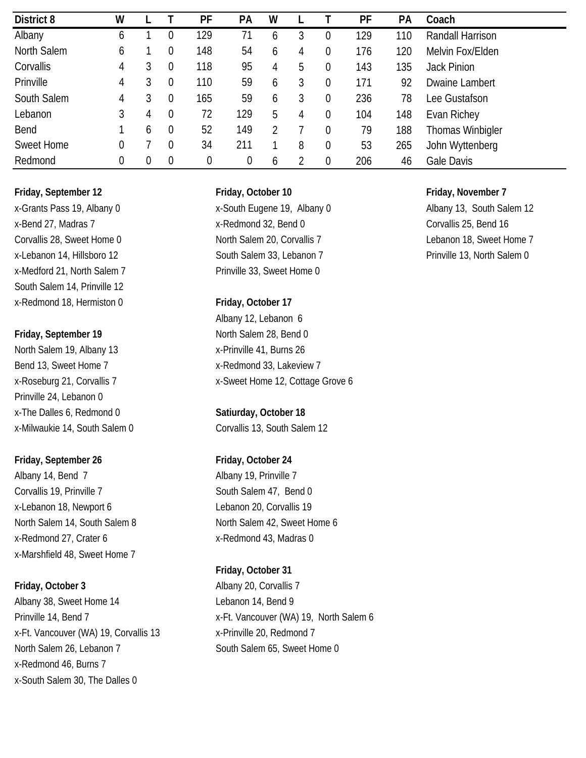| District 8        | W |                |                | PF       | PA  | W |   |                  | PF  | PA  | Coach                   |
|-------------------|---|----------------|----------------|----------|-----|---|---|------------------|-----|-----|-------------------------|
| Albany            | 6 |                |                | 129      | 71  | 6 | 3 | 0                | 129 | 110 | Randall Harrison        |
| North Salem       | 6 |                |                | 148      | 54  | 6 | 4 | $\overline{0}$   | 176 | 120 | Melvin Fox/Elden        |
| Corvallis         | 4 | 3              | $\overline{0}$ | 118      | 95  | 4 | 5 | 0                | 143 | 135 | <b>Jack Pinion</b>      |
| Prinville         | 4 |                |                | 110      | 59  | 6 | 3 | $\overline{0}$   | 171 | 92  | Dwaine Lambert          |
| South Salem       | 4 | 3              | 0              | 165      | 59  | 6 | 3 | $\overline{0}$   | 236 | 78  | Lee Gustafson           |
| Lebanon           | 3 | 4              | $\overline{0}$ | 72       | 129 | 5 | 4 | $\boldsymbol{0}$ | 104 | 148 | Evan Richey             |
| Bend              |   | 6              | $\overline{0}$ | 52       | 149 |   |   | $\overline{0}$   | 79  | 188 | <b>Thomas Winbigler</b> |
| <b>Sweet Home</b> | 0 |                |                | 34       | 211 |   | 8 | 0                | 53  | 265 | John Wyttenberg         |
| Redmond           | 0 | $\overline{0}$ | $\overline{0}$ | $\theta$ |     | 6 |   | 0                | 206 | 46  | Gale Davis              |

### **Friday, September 12 Friday, October 10 Friday, November 7**

x-Medford 21, North Salem 7 Prinville 33, Sweet Home 0 South Salem 14, Prinville 12 x-Redmond 18, Hermiston 0 **Friday, October 17**

North Salem 19, Albany 13 x-Prinville 41, Burns 26 Bend 13, Sweet Home 7 x-Redmond 33, Lakeview 7 Prinville 24, Lebanon 0 x-The Dalles 6, Redmond 0 **Satiurday, October 18** x-Milwaukie 14, South Salem 0 Corvallis 13, South Salem 12

### **Friday, September 26 Friday, October 24**

Albany 14, Bend 7 Albany 19, Prinville 7 Corvallis 19, Prinville 7 South Salem 47, Bend 0 x-Lebanon 18, Newport 6 Lebanon 20, Corvallis 19 x-Redmond 27, Crater 6 x-Redmond 43, Madras 0 x-Marshfield 48, Sweet Home 7

Albany 38, Sweet Home 14 Lebanon 14, Bend 9 x-Ft. Vancouver (WA) 19, Corvallis 13 x-Prinville 20, Redmond 7 North Salem 26, Lebanon 7 South Salem 65, Sweet Home 0 x-Redmond 46, Burns 7 x-South Salem 30, The Dalles 0

x-Grants Pass 19, Albany 0 x-South Eugene 19, Albany 0 Albany 13, South Salem 12 x-Bend 27, Madras 7 x-Redmond 32, Bend 0 Corvallis 25, Bend 16 Corvallis 28, Sweet Home 0 North Salem 20, Corvallis 7 Lebanon 18, Sweet Home 7 x-Lebanon 14, Hillsboro 12 **South Salem 33, Lebanon 7** Prinville 13, North Salem 0

Albany 12, Lebanon 6 **Friday, September 19** North Salem 28, Bend 0 x-Roseburg 21, Corvallis 7 x-Sweet Home 12, Cottage Grove 6

North Salem 14, South Salem 8 North Salem 42, Sweet Home 6

### **Friday, October 31**

**Friday, October 3** Albany 20, Corvallis 7 Prinville 14, Bend 7 x-Ft. Vancouver (WA) 19, North Salem 6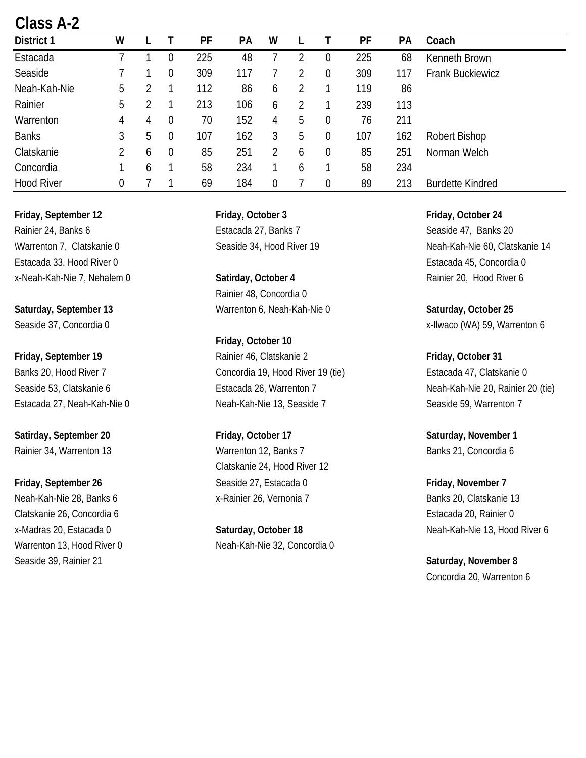# **Class A-2**

| District 1        | W |   |                  | PF  | PА  | W |   |                  | PF  | <b>PA</b> | Coach                   |
|-------------------|---|---|------------------|-----|-----|---|---|------------------|-----|-----------|-------------------------|
| Estacada          |   |   | 0                | 225 | 48  |   |   | $\boldsymbol{0}$ | 225 | 68        | Kenneth Brown           |
| Seaside           |   |   | $\overline{0}$   | 309 | 117 |   |   | $\mathbf 0$      | 309 | 117       | <b>Frank Buckiewicz</b> |
| Neah-Kah-Nie      | 5 |   |                  | 112 | 86  | 6 |   |                  | 119 | 86        |                         |
| Rainier           | 5 |   |                  | 213 | 106 | 6 |   |                  | 239 | 113       |                         |
| Warrenton         | 4 | 4 | $\boldsymbol{0}$ | 70  | 152 | 4 | 5 | $\boldsymbol{0}$ | 76  | 211       |                         |
| <b>Banks</b>      | 3 | 5 | $\overline{0}$   | 107 | 162 | 3 | 5 | $\theta$         | 107 | 162       | Robert Bishop           |
| Clatskanie        | 2 | b | $\theta$         | 85  | 251 |   | 6 | 0                | 85  | 251       | Norman Welch            |
| Concordia         |   | 6 |                  | 58  | 234 |   | 6 |                  | 58  | 234       |                         |
| <b>Hood River</b> | 0 |   |                  | 69  | 184 | 0 |   | $\boldsymbol{0}$ | 89  | 213       | <b>Burdette Kindred</b> |

**Friday, September 12 Friday, October 3 Friday, October 24** Rainier 24, Banks 6 **Estacada 27, Banks 7** Seaside 47, Banks 20 Estacada 33, Hood River 0 Estacada 45, Concordia 0 x-Neah-Kah-Nie 7, Nehalem 0 **Satirday, October 4** Rainier 20, Hood River 6

Clatskanie 26, Concordia 6 Estacada 20, Rainier 0 Seaside 39, Rainier 21 **Seaside 39, Rainier 21 Saturday, November 8 Saturday, November 8** 

Rainier 48, Concordia 0 Saturday, September 13 **Warrenton 6, Neah-Kah-Nie 0** Saturday, October 25

**Friday, October 10** Friday, September 19 **Rainier 46, Clatskanie 2** Friday, October 31 Banks 20, Hood River 7 Concordia 19, Hood River 19 (tie) Estacada 47, Clatskanie 0 Seaside 53, Clatskanie 6 **Estacada 26, Warrenton 7** Neah-Kah-Nie 20, Rainier 20 (tie) Estacada 27, Neah-Kah-Nie 0 Neah-Kah-Nie 13, Seaside 7 Seaside 59, Warrenton 7

**Satirday, September 20 Friday, October 17 Saturday, November 1** Rainier 34, Warrenton 13 **Warrenton 12, Banks 7** Banks 21, Concordia 6 Clatskanie 24, Hood River 12 **Friday, September 26** Seaside 27, Estacada 0 **Friday, November 7** Neah-Kah-Nie 28, Banks 6 x-Rainier 26, Vernonia 7 Banks 20, Clatskanie 13

Warrenton 13, Hood River 0 Neah-Kah-Nie 32, Concordia 0

Warrenton 7, Clatskanie 0 Seaside 34, Hood River 19 Neah-Kah-Nie 60, Clatskanie 14

Seaside 37, Concordia 0 x-Ilwaco (WA) 59, Warrenton 6

x-Madras 20, Estacada 0 **Saturday, October 18** Neah-Kah-Nie 13, Hood River 6

Concordia 20, Warrenton 6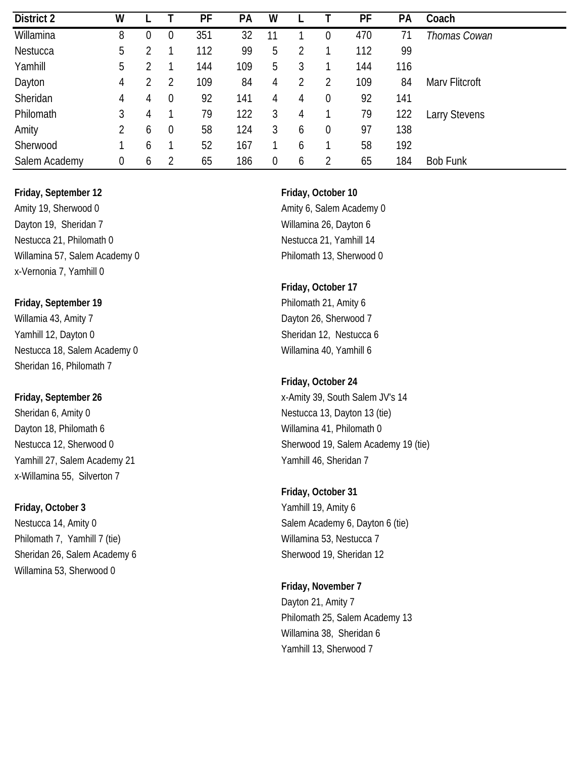| <b>District 2</b> | W                |   |                | PF  | PA  | W  |   |                | PF  | PA  | Coach           |
|-------------------|------------------|---|----------------|-----|-----|----|---|----------------|-----|-----|-----------------|
| Willamina         | 8                | 0 | 0              | 351 | 32  | 11 |   | 0              | 470 | 71  | Thomas Cowan    |
| Nestucca          | 5                |   |                | 112 | 99  | 5  |   |                | 112 | 99  |                 |
| Yamhill           | 5                |   |                | 144 | 109 | 5  | 3 |                | 144 | 116 |                 |
| Dayton            | 4                |   |                | 109 | 84  | 4  |   | 2              | 109 | 84  | Mary Flitcroft  |
| Sheridan          | 4                | 4 | $\overline{0}$ | 92  | 141 | 4  | 4 | 0              | 92  | 141 |                 |
| Philomath         | 3                | 4 |                | 79  | 122 | 3  | 4 |                | 79  | 122 | arry Stevens    |
| Amity             | 2                | b | $\overline{0}$ | 58  | 124 | 3  | 6 | 0              | 97  | 138 |                 |
| Sherwood          |                  | 6 |                | 52  | 167 |    | 6 |                | 58  | 192 |                 |
| Salem Academy     | $\boldsymbol{0}$ | b |                | 65  | 186 | 0  | 6 | $\overline{2}$ | 65  | 184 | <b>Bob Funk</b> |

Amity 19, Sherwood 0 **Amity 6**, Salem Academy 0 Dayton 19, Sheridan 7 Willamina 26, Dayton 6 Nestucca 21, Philomath 0 Nestucca 21, Yamhill 14 Willamina 57, Salem Academy 0 Philomath 13, Sherwood 0 x-Vernonia 7, Yamhill 0

### **Friday, September 19 Philomath 21, Amity 6**

Willamia 43, Amity 7 Dayton 26, Sherwood 7 Yamhill 12, Dayton 0 Sheridan 12, Nestucca 6 Nestucca 18, Salem Academy 0 Willamina 40, Yamhill 6 Sheridan 16, Philomath 7

Sheridan 6, Amity 0 Nestucca 13, Dayton 13 (tie) Dayton 18, Philomath 6 Willamina 41, Philomath 0 Yamhill 27, Salem Academy 21 Yamhill 46, Sheridan 7 x-Willamina 55, Silverton 7

Philomath 7, Yamhill 7 (tie) Willamina 53, Nestucca 7 Sheridan 26, Salem Academy 6 Sherwood 19, Sheridan 12 Willamina 53, Sherwood 0

### **Friday, October 17**

### **Friday, October 24**

**Friday, September 26** x-Amity 39, South Salem JV's 14 Nestucca 12, Sherwood 0 Sherwood 19, Salem Academy 19 (tie)

### **Friday, October 31**

**Friday, October 3** Yamhill 19, Amity 6 Nestucca 14, Amity 0 **Salem Academy 6, Dayton 6 (tie)** Salem Academy 6, Dayton 6 (tie)

> **Friday, November 7** Dayton 21, Amity 7 Philomath 25, Salem Academy 13 Willamina 38, Sheridan 6 Yamhill 13, Sherwood 7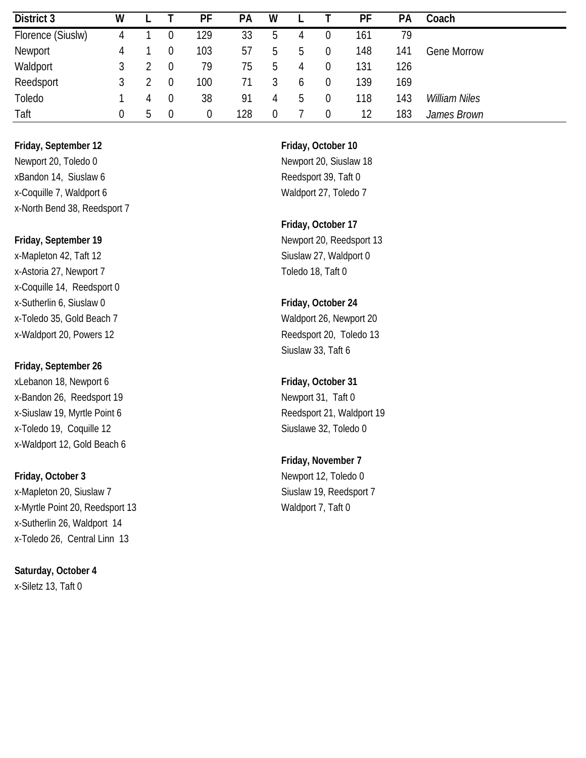| District 3        | W |    |                | PF  | <b>PA</b> | W        |               |                  | PF  | PА           | Coach              |
|-------------------|---|----|----------------|-----|-----------|----------|---------------|------------------|-----|--------------|--------------------|
| Florence (Siuslw) | 4 |    |                | 129 | 33        | b        | 4             | U                | 161 | 79           |                    |
| Newport           | 4 |    | 0              | 103 | 57        | b        | b             | $\theta$         | 148 | $14^{\circ}$ | <b>Gene Morrow</b> |
| Waldport          | 3 |    |                | 79  | 75        | b        | 4             | 0                | 131 | 126          |                    |
| Reedsport         |   |    | 0              | 100 |           |          | h             | $\theta$         | 139 | 169          |                    |
| Toledo            |   | 4  | $\overline{0}$ | 38  | 91        | 4        | $\mathcal{D}$ | $\overline{0}$   | 118 | 143          | William Niles      |
| Taft              | 0 | b. | $\overline{0}$ | 0   | 128       | $\theta$ |               | $\boldsymbol{0}$ | 12  | 183          | James Brown        |

**Friday, September 12 Friday, October 10** Newport 20, Toledo 0 Newport 20, Siuslaw 18 xBandon 14, Siuslaw 6 Reedsport 39, Taft 0 x-Coquille 7, Waldport 6 Waldport 27, Toledo 7 x-North Bend 38, Reedsport 7

x-Mapleton 42, Taft 12 Siuslaw 27, Waldport 0 x-Astoria 27, Newport 7 Toledo 18, Taft 0 x-Coquille 14, Reedsport 0 x-Sutherlin 6, Siuslaw 0 **Friday, October 24** x-Toledo 35, Gold Beach 7 Waldport 26, Newport 20 x-Waldport 20, Powers 12 and 200 and 200 and 200 and 200 and 200 and 200 and 200 and 200 and 200 and 200 and 20

### **Friday, September 26**

xLebanon 18, Newport 6 **Friday, October 31** x-Bandon 26, Reedsport 19 Newport 31, Taft 0 x-Siuslaw 19, Myrtle Point 6 and 19 Reedsport 21, Waldport 19 x-Toledo 19, Coquille 12 Siuslawe 32, Toledo 0 x-Waldport 12, Gold Beach 6

x-Mapleton 20, Siuslaw 7 Siuslaw 19, Reedsport 7 x-Myrtle Point 20, Reedsport 13 Waldport 7, Taft 0 x-Sutherlin 26, Waldport 14 x-Toledo 26, Central Linn 13

**Saturday, October 4** x-Siletz 13, Taft 0

**Friday, October 17 Friday, September 19** Newport 20, Reedsport 13

Siuslaw 33, Taft 6

### **Friday, November 7**

**Friday, October 3** Newport 12, Toledo 0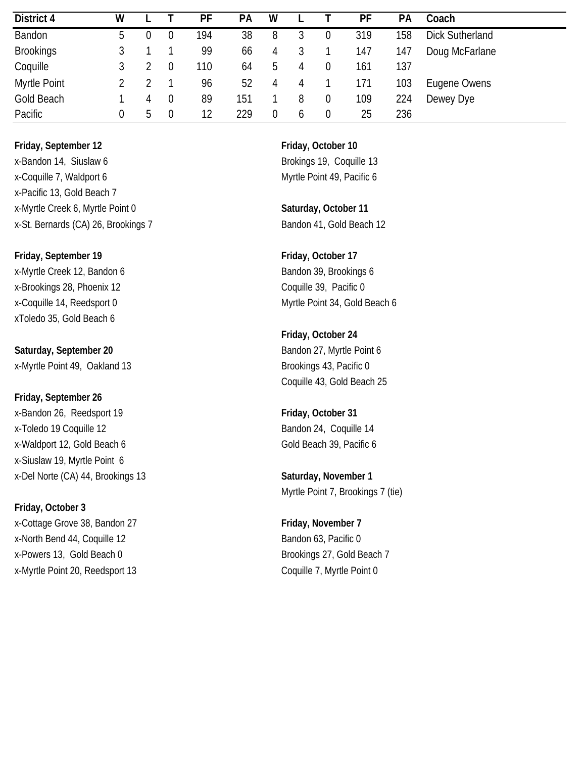| District 4       | W |               |                | PF  | PA  | W |              |          | PF  | PA  | Coach                  |
|------------------|---|---------------|----------------|-----|-----|---|--------------|----------|-----|-----|------------------------|
| Bandon           | 5 |               |                | 194 | 38  | 8 |              |          | 319 | 158 | <b>Dick Sutherland</b> |
| <b>Brookings</b> |   |               |                | 99  | 66  | 4 |              |          | 147 | 147 | Doug McFarlane         |
| Coquille         |   |               |                | 110 | 64  | b | 4            |          | 161 | 137 |                        |
| Myrtle Point     |   |               |                | 96  | 52  | 4 | 4            |          | 171 | 103 | Eugene Owens           |
| Gold Beach       |   | 4             | $\overline{0}$ | 89  | 151 |   | 8            | $\theta$ | 109 | 224 | Dewey Dye              |
| Pacific          | 0 | $\mathcal{D}$ | $\overline{0}$ | 12  | 229 |   | <sub>0</sub> | 0        | 25  | 236 |                        |

**Friday, September 12 Friday, October 10** x-Bandon 14, Siuslaw 6 Brokings 19, Coquille 13 x-Coquille 7, Waldport 6 Myrtle Point 49, Pacific 6 x-Pacific 13, Gold Beach 7 x-Myrtle Creek 6, Myrtle Point 0 **Saturday, October 11** x-St. Bernards (CA) 26, Brookings 7 Bandon 41, Gold Beach 12

**Friday, September 19 Friday, October 17** x-Myrtle Creek 12, Bandon 6 Bandon 39, Brookings 6 x-Brookings 28, Phoenix 12 Coquille 39, Pacific 0 xToledo 35, Gold Beach 6

**Saturday, September 20** Bandon 27, Myrtle Point 6 x-Myrtle Point 49, Oakland 13 Brookings 43, Pacific 0

**Friday, September 26** x-Bandon 26, Reedsport 19 **Friday, October 31** x-Toledo 19 Coquille 12 **Bandon 24, Coquille 14** x-Waldport 12, Gold Beach 6 Gold Beach 39, Pacific 6 x-Siuslaw 19, Myrtle Point 6 x-Del Norte (CA) 44, Brookings 13 **Saturday, November 1**

**Friday, October 3** x-Cottage Grove 38, Bandon 27 **Friday, November 7** x-North Bend 44, Coquille 12 Bandon 63, Pacific 0 x-Powers 13, Gold Beach 0 Brookings 27, Gold Beach 7 x-Myrtle Point 20, Reedsport 13 Coquille 7, Myrtle Point 0

x-Coquille 14, Reedsport 0 Myrtle Point 34, Gold Beach 6

**Friday, October 24** Coquille 43, Gold Beach 25

Myrtle Point 7, Brookings 7 (tie)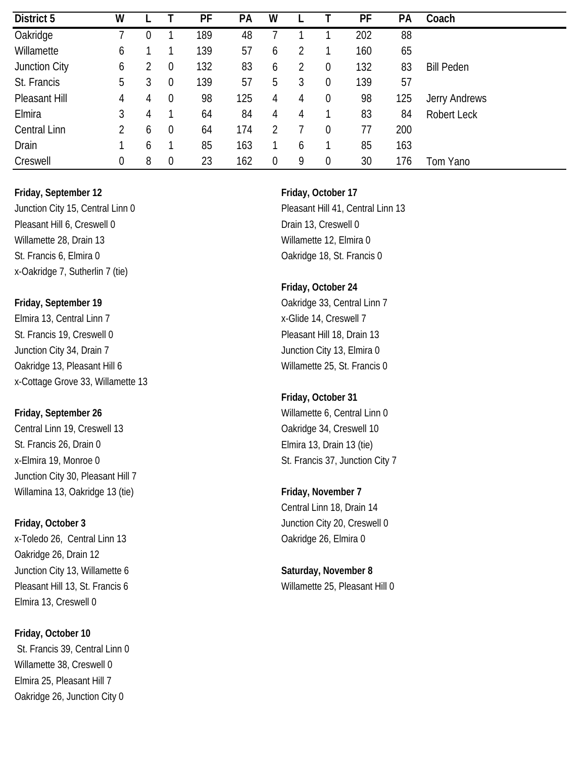| District 5          | W |   |                  | PF  | PA  | W |   |                  | PF  | <b>PA</b> | Coach             |
|---------------------|---|---|------------------|-----|-----|---|---|------------------|-----|-----------|-------------------|
| Oakridge            |   | 0 |                  | 189 | 48  |   |   |                  | 202 | 88        |                   |
| Willamette          | 6 |   |                  | 139 | 57  | 6 |   |                  | 160 | 65        |                   |
| Junction City       | 6 |   | $\boldsymbol{0}$ | 132 | 83  | 6 |   | $\boldsymbol{0}$ | 132 | 83        | <b>Bill Peden</b> |
| St. Francis         | 5 |   | $\overline{0}$   | 139 | 57  | 5 | 3 | 0                | 139 | 57        |                   |
| Pleasant Hill       | 4 | 4 | $\boldsymbol{0}$ | 98  | 125 | 4 | 4 | $\theta$         | 98  | 125       | Jerry Andrews     |
| Elmira              | 3 | 4 |                  | 64  | 84  | 4 | 4 |                  | 83  | 84        | Robert Leck       |
| <b>Central Linn</b> | 2 | b | $\overline{0}$   | 64  | 174 |   |   | 0                | 77  | 200       |                   |
| Drain               |   | 6 |                  | 85  | 163 |   | b |                  | 85  | 163       |                   |
| Creswell            | 0 | 8 | $\boldsymbol{0}$ | 23  | 162 | 0 | 9 | 0                | 30  | 176       | Tom Yano          |

Junction City 15, Central Linn 0 Pleasant Hill 41, Central Linn 13 Pleasant Hill 6, Creswell 0 Drain 13, Creswell 0 Willamette 28, Drain 13 Willamette 12, Elmira 0 St. Francis 6, Elmira 0 Cakridge 18, St. Francis 0 x-Oakridge 7, Sutherlin 7 (tie)

Elmira 13, Central Linn 7 x-Glide 14, Creswell 7 St. Francis 19, Creswell 0 Pleasant Hill 18, Drain 13 Junction City 34, Drain 7 Junction City 13, Elmira 0 Oakridge 13, Pleasant Hill 6 Willamette 25, St. Francis 0 x-Cottage Grove 33, Willamette 13

Central Linn 19, Creswell 13 Central Linn 19, Creswell 10 St. Francis 26, Drain 0 Elmira 13, Drain 13 (tie) x-Elmira 19, Monroe 0 St. Francis 37, Junction City 7 Junction City 30, Pleasant Hill 7 Willamina 13, Oakridge 13 (tie) **Friday, November 7** Example 13 (tie)

x-Toledo 26, Central Linn 13 Cass and Cakridge 26, Elmira 0 Oakridge 26, Drain 12 Junction City 13, Willamette 6 **Saturday, November 8** Pleasant Hill 13, St. Francis 6 Willamette 25, Pleasant Hill 0 Elmira 13, Creswell 0

**Friday, October 10** St. Francis 39, Central Linn 0 Willamette 38, Creswell 0 Elmira 25, Pleasant Hill 7 Oakridge 26, Junction City 0

### **Friday, October 24**

**Friday, September 19** Oakridge 33, Central Linn 7

### **Friday, October 31**

**Friday, September 26** Willamette 6, Central Linn 0

Central Linn 18, Drain 14 **Friday, October 3** Junction City 20, Creswell 0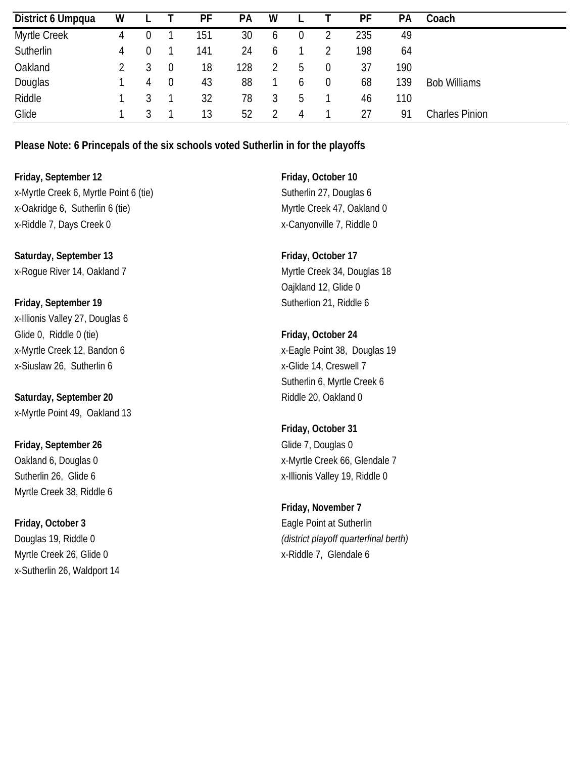| District 6 Umpqua | w |   | PF  | <b>PA</b> | W |               | PF  | PА  | Coach                 |
|-------------------|---|---|-----|-----------|---|---------------|-----|-----|-----------------------|
| Myrtle Creek      | 4 |   | 151 | 30        | b |               | 235 | 49  |                       |
| Sutherlin         | 4 |   | 141 | 24        | b |               | 198 | 64  |                       |
| Oakland           |   |   | 18  | 128       |   | $\mathfrak h$ | 37  | 190 |                       |
| Douglas           |   | 4 | 43  | 88        |   | h             | 68  | 139 | <b>Bob Williams</b>   |
| Riddle            |   |   | 32  | 78        | 3 | b             | 46  | 110 |                       |
| Glide             |   |   | 13  | 52        |   | 4             | 27  | 91  | <b>Charles Pinion</b> |

**Please Note: 6 Princepals of the six schools voted Sutherlin in for the playoffs**

**Friday, September 12 Friday, October 10** x-Myrtle Creek 6, Myrtle Point 6 (tie) Sutherlin 27, Douglas 6 x-Oakridge 6, Sutherlin 6 (tie) Myrtle Creek 47, Oakland 0 x-Riddle 7, Days Creek 0 x-Canyonville 7, Riddle 0

Saturday, September 13 **Friday**, October 17 x-Rogue River 14, Oakland 7 Myrtle Creek 34, Douglas 18

**Friday, September 19** Sutherlion 21, Riddle 6 x-Illionis Valley 27, Douglas 6 Glide 0, Riddle 0 (tie) **Friday, October 24** x-Siuslaw 26, Sutherlin 6 x-Siuslaw 26, Sutherlin 6

**Saturday, September 20 Riddle 20, Oakland 0** x-Myrtle Point 49, Oakland 13

**Friday, September 26** Glide 7, Douglas 0 Myrtle Creek 38, Riddle 6

**Friday, October 3** Eagle Point at Sutherlin Myrtle Creek 26, Glide 0 x-Riddle 7, Glendale 6 x-Sutherlin 26, Waldport 14

Oajkland 12, Glide 0

x-Myrtle Creek 12, Bandon 6 x-Eagle Point 38, Douglas 19 Sutherlin 6, Myrtle Creek 6

**Friday, October 31** Oakland 6, Douglas 0 x-Myrtle Creek 66, Glendale 7 Sutherlin 26, Glide 6 x-Illionis Valley 19, Riddle 0

**Friday, November 7** Douglas 19, Riddle 0 *(district playoff quarterfinal berth)*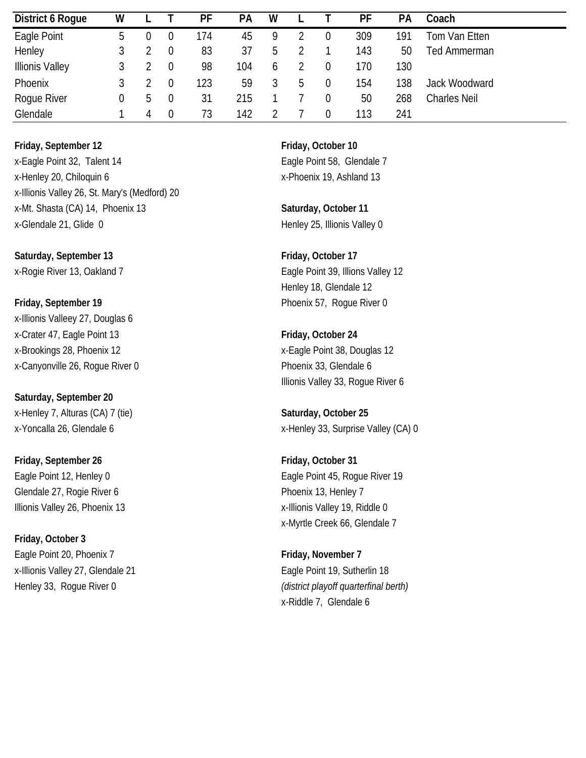| District 6 Roque       | W  |    |                | PF  | РA  | W |    |   | PF  | РA  | Coach               |
|------------------------|----|----|----------------|-----|-----|---|----|---|-----|-----|---------------------|
| Eagle Point            | .b |    |                | 174 | 45  |   |    | 0 | 309 | 191 | Tom Van Etten       |
| Henley                 |    |    | $\overline{0}$ | 83  | 37  | b |    |   | 143 | 50  | Ted Ammerman        |
| <b>Illionis Valley</b> |    |    | 0              | 98  | 104 | h |    |   | 170 | 130 |                     |
| Phoenix                |    |    | $\Omega$       | 123 | 59  |   | .C | 0 | 154 | 138 | Jack Woodward       |
| Rogue River            | 0  | b. | $\overline{0}$ | 31  | 215 |   |    |   | 50  | 268 | <b>Charles Neil</b> |
| Glendale               |    | 4  | $\overline{0}$ | 73  | 142 |   |    |   | 113 | 241 |                     |

**Friday, September 12 Friday, October 10** x-Eagle Point 32, Talent 14 Eagle Point 58, Glendale 7 x-Henley 20, Chiloquin 6 x-Phoenix 19, Ashland 13 x-Illionis Valley 26, St. Mary's (Medford) 20 x-Mt. Shasta (CA) 14, Phoenix 13 **Saturday, October 11** x-Glendale 21, Glide 0 Henley 25, Illionis Valley 0

Saturday, September 13 **Friday**, October 17

**Friday, September 19** Phoenix 57, Rogue River 0 x-Illionis Valleey 27, Douglas 6 x-Crater 47, Eagle Point 13 **Friday, October 24** x-Brookings 28, Phoenix 12 x-Eagle Point 38, Douglas 12 x-Canyonville 26, Roque River 0 Phoenix 33, Glendale 6

**Saturday, September 20** x-Henley 7, Alturas (CA) 7 (tie) **Saturday, October 25**

**Friday, September 26 Friday, October 31** Glendale 27, Rogie River 6 Phoenix 13, Henley 7

**Friday, October 3** Eagle Point 20, Phoenix 7 **Friday, November 7 Friday, November 7** x-Illionis Valley 27, Glendale 21 Eagle Point 19, Sutherlin 18

x-Rogie River 13, Oakland 7 Eagle Point 39, Illions Valley 12 Henley 18, Glendale 12

Illionis Valley 33, Rogue River 6

x-Yoncalla 26, Glendale 6 x-Henley 33, Surprise Valley (CA) 0

Eagle Point 12, Henley 0 **Eagle Point 45, Rogue River 19** Illionis Valley 26, Phoenix 13 **Xalley 19, Riddle 0** x-Illionis Valley 19, Riddle 0 x-Myrtle Creek 66, Glendale 7

Henley 33, Rogue River 0 *(district playoff quarterfinal berth)* x-Riddle 7, Glendale 6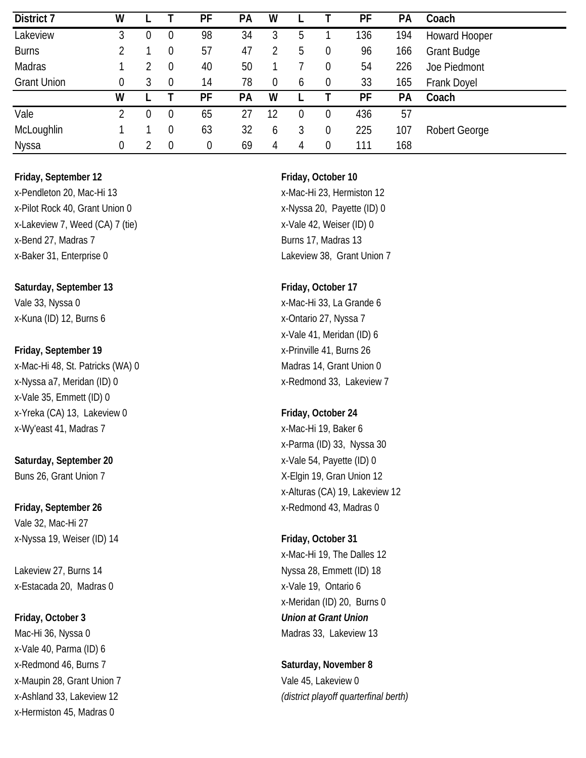| District 7         | w           |   |                  | PF | <b>PA</b> | W  |   |                  | PF  | PA  | Coach                |
|--------------------|-------------|---|------------------|----|-----------|----|---|------------------|-----|-----|----------------------|
| Lakeview           | 3           | 0 | 0                | 98 | 34        | 3  | 5 |                  | 136 | 194 | <b>Howard Hooper</b> |
| <b>Burns</b>       |             |   | 0                | 57 | 47        |    | 5 | $\boldsymbol{0}$ | 96  | 166 | <b>Grant Budge</b>   |
| Madras             |             |   | $\boldsymbol{0}$ | 40 | 50        |    |   | 0                | 54  | 226 | Joe Piedmont         |
| <b>Grant Union</b> | $\mathbf 0$ | 3 | $\overline{0}$   | 14 | 78        | 0  | 6 | $\boldsymbol{0}$ | 33  | 165 | Frank Doyel          |
|                    | w           |   |                  | PF | PA        | W  |   |                  | PF  | PA  | Coach                |
| Vale               |             | 0 | $\overline{0}$   | 65 | 27        | 12 | O | 0                | 436 | 57  |                      |
| McLoughlin         |             |   | 0                | 63 | 32        | b  |   | 0                | 225 | 107 | <b>Robert George</b> |
| Nyssa              | $\mathbf 0$ |   | $\mathbf 0$      | 0  | 69        | 4  | 4 | $\boldsymbol{0}$ | 111 | 168 |                      |

x-Pendleton 20, Mac-Hi 13 x-Mac-Hi 23, Hermiston 12 x-Pilot Rock 40, Grant Union 0 x-Nyssa 20, Payette (ID) 0 x-Lakeview 7, Weed (CA) 7 (tie) x-Vale 42, Weiser (ID) 0 x-Bend 27, Madras 7 Burns 17, Madras 13 x-Baker 31, Enterprise 0 Lakeview 38, Grant Union 7

Saturday, September 13 **Friday**, October 17 Vale 33, Nyssa 0 x-Mac-Hi 33, La Grande 6 x-Kuna (ID) 12, Burns 6 x-Ontario 27, Nyssa 7

x-Nyssa a7, Meridan (ID) 0 x-Nyssa a7, Meridan (ID) 0 x-Vale 35, Emmett (ID) 0 x-Yreka (CA) 13, Lakeview 0 **Friday, October 24** x-Wy'east 41, Madras 7 x-Mac-Hi 19, Baker 6

# **Saturday, September 20** x-Vale 54, Payette (ID) 0

**Friday, September 26 by September 26 by September 26 by September 26 by September 26 by September 26 by September 26 by September 26 by September 26 by September 26 by September 26 by September 26** Vale 32, Mac-Hi 27 x-Nyssa 19, Weiser (ID) 14 **Friday, October 31**

x-Estacada 20, Madras 0 x-Vale 19, Ontario 6

x-Vale 40, Parma (ID) 6 x-Redmond 46, Burns 7 **Saturday, November 8** x-Maupin 28, Grant Union 7 Vale 45, Lakeview 0 x-Hermiston 45, Madras 0

x-Vale 41, Meridan (ID) 6 **Friday, September 19** X-Prinville 41, Burns 26 x-Mac-Hi 48, St. Patricks (WA) 0 Madras 14, Grant Union 0

x-Parma (ID) 33, Nyssa 30 Buns 26, Grant Union 7 The State of the State of Average State State State State State State State State State State State State State State State State State State State State State State State State State State State Sta x-Alturas (CA) 19, Lakeview 12

x-Mac-Hi 19, The Dalles 12 Lakeview 27, Burns 14 **Nyssa 28, Emmett (ID)** 18 x-Meridan (ID) 20, Burns 0 **Friday, October 3** *Union at Grant Union* Mac-Hi 36, Nyssa 0 Madras 33, Lakeview 13

# x-Ashland 33, Lakeview 12 *(district playoff quarterfinal berth)*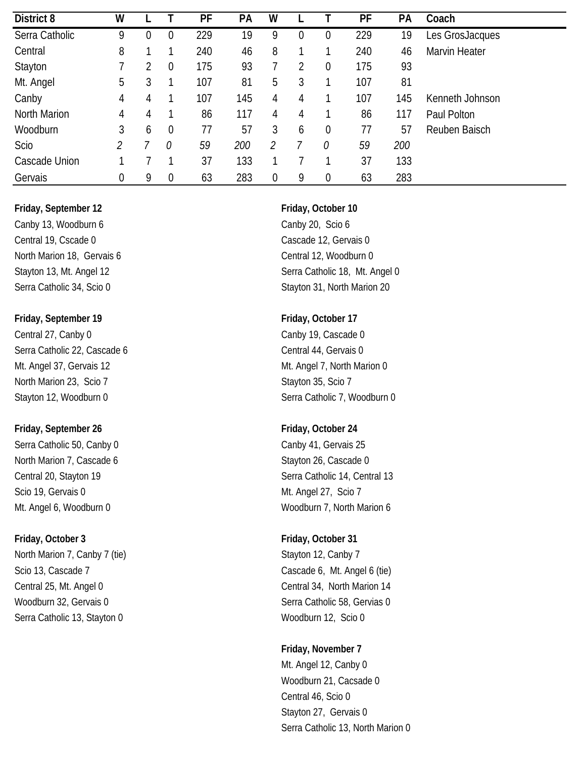| District 8     | W |               |                  | PF  | PA  | W |   |                  | PF  | PA  | Coach           |
|----------------|---|---------------|------------------|-----|-----|---|---|------------------|-----|-----|-----------------|
| Serra Catholic | 9 | $\mathbf 0$   | $\boldsymbol{0}$ | 229 | 19  | 9 | 0 | 0                | 229 | 19  | Les GrosJacques |
| Central        | 8 |               |                  | 240 | 46  | 8 |   |                  | 240 | 46  | Marvin Heater   |
| Stayton        |   | $\mathcal{D}$ | $\overline{0}$   | 175 | 93  |   | C | $\boldsymbol{0}$ | 175 | 93  |                 |
| Mt. Angel      | 5 | 3             |                  | 107 | 81  | 5 | 3 |                  | 107 | 81  |                 |
| Canby          | 4 | 4             |                  | 107 | 145 | 4 | 4 |                  | 107 | 145 | Kenneth Johnson |
| North Marion   | 4 | 4             |                  | 86  | 117 | 4 | 4 |                  | 86  | 117 | Paul Polton     |
| Woodburn       | 3 | 6             | $\overline{0}$   | 77  | 57  | 3 | 6 | $\boldsymbol{0}$ | 77  | 57  | Reuben Baisch   |
| Scio           | 2 |               | 0                | 59  | 200 | 2 |   | 0                | 59  | 200 |                 |
| Cascade Union  |   |               |                  | 37  | 133 |   |   |                  | 37  | 133 |                 |
| Gervais        | 0 | 9             | $\boldsymbol{0}$ | 63  | 283 | 0 | 9 | $\boldsymbol{0}$ | 63  | 283 |                 |

Canby 13, Woodburn 6 Canby 20, Scio 6 Central 19, Cscade 0 Cascade 12, Gervais 0 North Marion 18, Gervais 6 Central 12, Woodburn 0

**Friday, September 19 Friday, October 17** Central 27, Canby 0 Canby 19, Cascade 0 Serra Catholic 22, Cascade 6 Central 44, Gervais 0 Mt. Angel 37, Gervais 12 Mt. Angel 7, North Marion 0 North Marion 23, Scio 7 Stayton 35, Scio 7

### **Friday, September 26 Friday, October 24**

Serra Catholic 50, Canby 0 Canby 11, Gervais 25 North Marion 7, Cascade 6 Stayton 26, Cascade 0 Scio 19, Gervais 0 Mt. Angel 27, Scio 7

North Marion 7, Canby 7 (tie) Stayton 12, Canby 7 (stayton 12, Canby 7 Scio 13, Cascade 7 Cascade 6, Mt. Angel 6 (tie) Central 25, Mt. Angel 0 Central 34, North Marion 14 Woodburn 32, Gervais 0 Serra Catholic 58, Gervias 0 Serra Catholic 13, Stayton 0 Woodburn 12, Scio 0

Stayton 13, Mt. Angel 12 Serra Catholic 18, Mt. Angel 0 Serra Catholic 34, Scio 0 Stayton 31, North Marion 20

Stayton 12, Woodburn 0 Stayton 12, Woodburn 0

Central 20, Stayton 19 **Serra Catholic 14, Central 13** Serra Catholic 14, Central 13 Mt. Angel 6, Woodburn 0 Woodburn 7, North Marion 6

### **Friday, October 3 Friday, October 31**

### **Friday, November 7**

Mt. Angel 12, Canby 0 Woodburn 21, Cacsade 0 Central 46, Scio 0 Stayton 27, Gervais 0 Serra Catholic 13, North Marion 0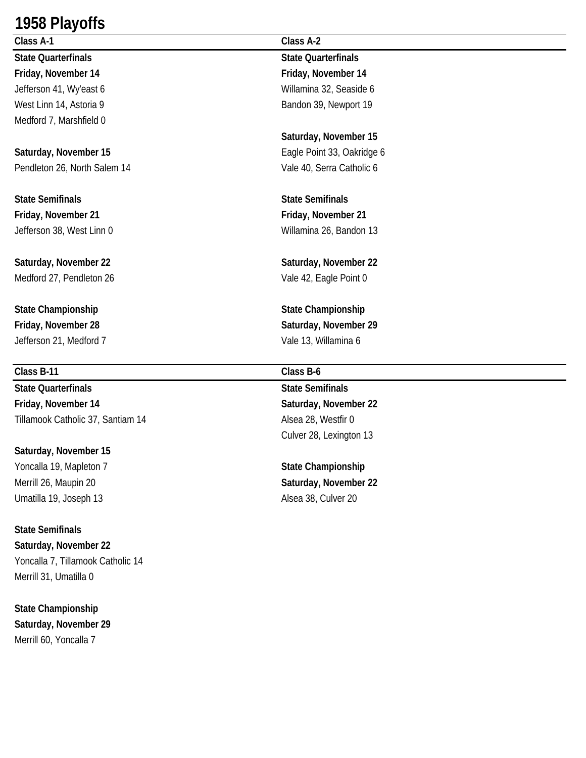## **1958 Playoffs**

**Class A-1 Class A-2 State Quarterfinals State Quarterfinals Friday, November 14 Friday, November 14** Medford 7, Marshfield 0

**Saturday, November 15 Eagle Point 33, Oakridge 6** Pendleton 26, North Salem 14 Vale 40, Serra Catholic 6

**State Semifinals State Semifinals Friday, November 21 Friday, November 21** Jefferson 38, West Linn 0 Willamina 26, Bandon 13

**Saturday, November 22 Saturday, November 22** Medford 27, Pendleton 26 Vale 42, Eagle Point 0

**State Championship State Championship** Jefferson 21, Medford 7 Vale 13, Willamina 6

### **Class B-11 Class B-6**

**State Quarterfinals State Semifinals Friday, November 14 Saturday, November 22** Tillamook Catholic 37, Santiam 14 Alsea 28, Westfir 0

**Saturday, November 15** Yoncalla 19, Mapleton 7 **State Championship** Merrill 26, Maupin 20 **Saturday, November 22** Umatilla 19, Joseph 13 Alsea 38, Culver 20

**State Semifinals Saturday, November 22** Yoncalla 7, Tillamook Catholic 14 Merrill 31, Umatilla 0

**State Championship Saturday, November 29** Merrill 60, Yoncalla 7

Jefferson 41, Wy'east 6 Willamina 32, Seaside 6 West Linn 14, Astoria 9 Bandon 39, Newport 19

**Saturday, November 15**

**Friday, November 28 Saturday, November 29**

Culver 28, Lexington 13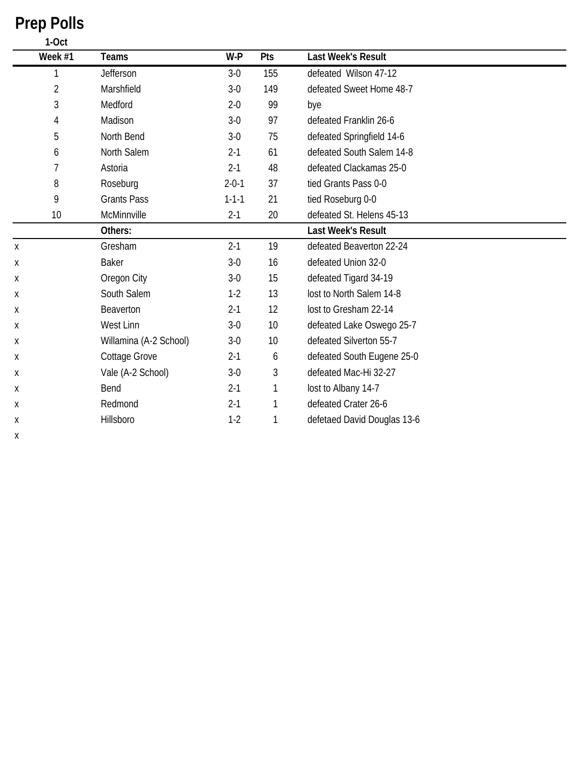|   | 1-Oct          |                        |             |     |                             |
|---|----------------|------------------------|-------------|-----|-----------------------------|
|   | Week #1        | <b>Teams</b>           | W-P         | Pts | Last Week's Result          |
|   | 1              | Jefferson              | $3-0$       | 155 | defeated Wilson 47-12       |
|   | $\overline{2}$ | Marshfield             | $3-0$       | 149 | defeated Sweet Home 48-7    |
|   | $\mathfrak{Z}$ | Medford                | $2 - 0$     | 99  | bye                         |
|   | $\overline{4}$ | Madison                | $3-0$       | 97  | defeated Franklin 26-6      |
|   | 5              | North Bend             | $3-0$       | 75  | defeated Springfield 14-6   |
|   | 6              | North Salem            | $2 - 1$     | 61  | defeated South Salem 14-8   |
|   | $\overline{7}$ | Astoria                | $2 - 1$     | 48  | defeated Clackamas 25-0     |
|   | 8              | Roseburg               | $2 - 0 - 1$ | 37  | tied Grants Pass 0-0        |
|   | 9              | <b>Grants Pass</b>     | $1 - 1 - 1$ | 21  | tied Roseburg 0-0           |
|   | 10             | McMinnville            | $2 - 1$     | 20  | defeated St. Helens 45-13   |
|   |                | Others:                |             |     | <b>Last Week's Result</b>   |
| X |                | Gresham                | $2 - 1$     | 19  | defeated Beaverton 22-24    |
| Χ |                | Baker                  | $3-0$       | 16  | defeated Union 32-0         |
| Χ |                | Oregon City            | $3-0$       | 15  | defeated Tigard 34-19       |
| Χ |                | South Salem            | $1-2$       | 13  | lost to North Salem 14-8    |
| Χ |                | Beaverton              | $2 - 1$     | 12  | lost to Gresham 22-14       |
| Χ |                | West Linn              | $3-0$       | 10  | defeated Lake Oswego 25-7   |
| Χ |                | Willamina (A-2 School) | $3-0$       | 10  | defeated Silverton 55-7     |
| Χ |                | Cottage Grove          | $2 - 1$     | 6   | defeated South Eugene 25-0  |
| Χ |                | Vale (A-2 School)      | $3-0$       | 3   | defeated Mac-Hi 32-27       |
| х |                | Bend                   | $2 - 1$     | 1   | lost to Albany 14-7         |
| Χ |                | Redmond                | $2 - 1$     | 1   | defeated Crater 26-6        |
| Χ |                | Hillsboro              | $1 - 2$     | 1   | defetaed David Douglas 13-6 |
| Χ |                |                        |             |     |                             |

# **Prep Polls**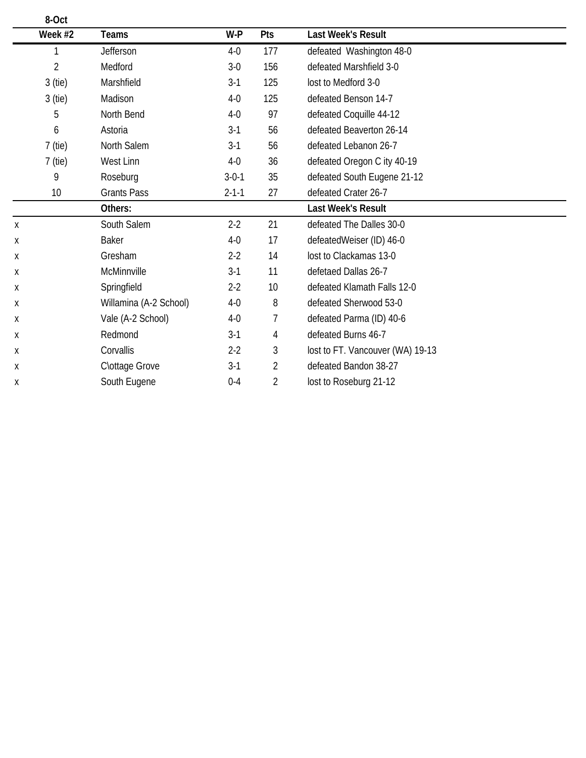| 8-Oct     |                        |             |                |                                  |  |
|-----------|------------------------|-------------|----------------|----------------------------------|--|
| Week #2   | Teams                  | W-P         | Pts            | <b>Last Week's Result</b>        |  |
|           | Jefferson              | $4-0$       | 177            | defeated Washington 48-0         |  |
| 2         | Medford                | $3-0$       | 156            | defeated Marshfield 3-0          |  |
| 3 (tie)   | Marshfield             | $3-1$       | 125            | lost to Medford 3-0              |  |
| 3 (tie)   | Madison                | $4-0$       | 125            | defeated Benson 14-7             |  |
| 5         | North Bend             | $4-0$       | 97             | defeated Coquille 44-12          |  |
| 6         | Astoria                | $3-1$       | 56             | defeated Beaverton 26-14         |  |
| 7 (tie)   | North Salem            | $3-1$       | 56             | defeated Lebanon 26-7            |  |
| $7$ (tie) | West Linn              | $4-0$       | 36             | defeated Oregon C ity 40-19      |  |
| 9         | Roseburg               | $3 - 0 - 1$ | 35             | defeated South Eugene 21-12      |  |
| 10        | <b>Grants Pass</b>     | $2 - 1 - 1$ | 27             | defeated Crater 26-7             |  |
|           | Others:                |             |                | <b>Last Week's Result</b>        |  |
| Χ         | South Salem            | $2 - 2$     | 21             | defeated The Dalles 30-0         |  |
| Х         | Baker                  | $4-0$       | 17             | defeatedWeiser (ID) 46-0         |  |
| Χ         | Gresham                | $2 - 2$     | 14             | lost to Clackamas 13-0           |  |
| Χ         | McMinnville            | $3-1$       | 11             | defetaed Dallas 26-7             |  |
| Χ         | Springfield            | $2 - 2$     | 10             | defeated Klamath Falls 12-0      |  |
| Х         | Willamina (A-2 School) | $4-0$       | 8              | defeated Sherwood 53-0           |  |
| Χ         | Vale (A-2 School)      | $4-0$       | 7              | defeated Parma (ID) 40-6         |  |
| Χ         | Redmond                | $3-1$       | 4              | defeated Burns 46-7              |  |
| Х         | Corvallis              | $2 - 2$     | 3              | lost to FT. Vancouver (WA) 19-13 |  |
| Χ         | Clottage Grove         | $3-1$       | $\overline{2}$ | defeated Bandon 38-27            |  |
| Х         | South Eugene           | $0 - 4$     | 2              | lost to Roseburg 21-12           |  |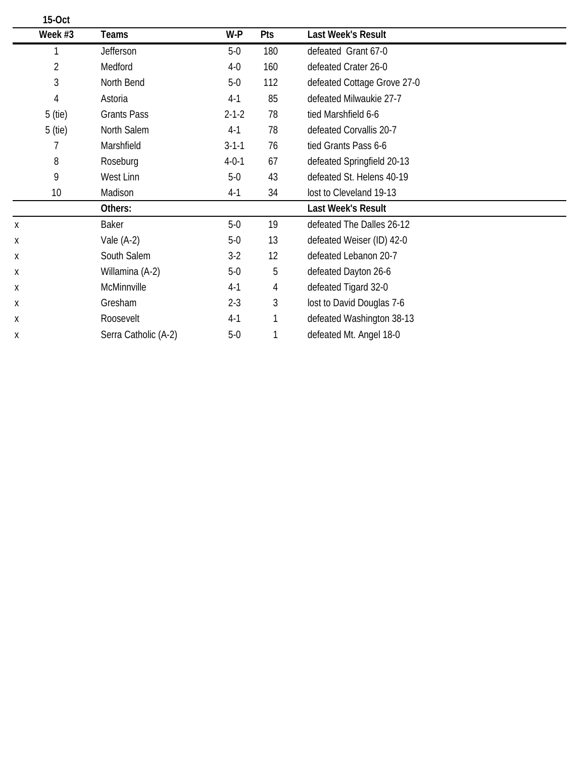|   | 15-Oct         |                      |             |     |                             |  |
|---|----------------|----------------------|-------------|-----|-----------------------------|--|
|   | Week #3        | Teams                | W-P         | Pts | <b>Last Week's Result</b>   |  |
|   |                | Jefferson            | $5-0$       | 180 | defeated Grant 67-0         |  |
|   | $\overline{2}$ | Medford              | $4-0$       | 160 | defeated Crater 26-0        |  |
|   | 3              | North Bend           | $5-0$       | 112 | defeated Cottage Grove 27-0 |  |
|   | 4              | Astoria              | $4-1$       | 85  | defeated Milwaukie 27-7     |  |
|   | 5 (tie)        | <b>Grants Pass</b>   | $2 - 1 - 2$ | 78  | tied Marshfield 6-6         |  |
|   | 5 (tie)        | North Salem          | $4-1$       | 78  | defeated Corvallis 20-7     |  |
|   |                | Marshfield           | $3 - 1 - 1$ | 76  | tied Grants Pass 6-6        |  |
|   | 8              | Roseburg             | $4 - 0 - 1$ | 67  | defeated Springfield 20-13  |  |
|   | 9              | West Linn            | $5-0$       | 43  | defeated St. Helens 40-19   |  |
|   | 10             | Madison              | $4-1$       | 34  | lost to Cleveland 19-13     |  |
|   |                | Others:              |             |     | <b>Last Week's Result</b>   |  |
| X |                | <b>Baker</b>         | $5-0$       | 19  | defeated The Dalles 26-12   |  |
| Χ |                | Vale $(A-2)$         | $5-0$       | 13  | defeated Weiser (ID) 42-0   |  |
| Х |                | South Salem          | $3-2$       | 12  | defeated Lebanon 20-7       |  |
| Х |                | Willamina (A-2)      | $5-0$       | 5   | defeated Dayton 26-6        |  |
| Χ |                | McMinnville          | $4-1$       | 4   | defeated Tigard 32-0        |  |
| Χ |                | Gresham              | $2 - 3$     | 3   | lost to David Douglas 7-6   |  |
| Х |                | Roosevelt            | $4-1$       |     | defeated Washington 38-13   |  |
| Х |                | Serra Catholic (A-2) | $5-0$       |     | defeated Mt. Angel 18-0     |  |
|   |                |                      |             |     |                             |  |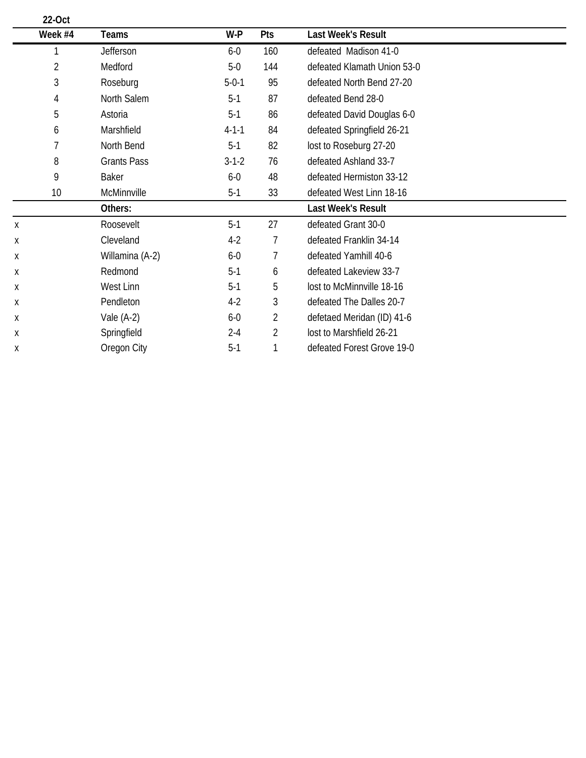| Teams              | W-P         | Pts | Last Week's Result          |  |
|--------------------|-------------|-----|-----------------------------|--|
| Jefferson          | $6-0$       | 160 | defeated Madison 41-0       |  |
| Medford            | $5-0$       | 144 | defeated Klamath Union 53-0 |  |
| Roseburg           | $5 - 0 - 1$ | 95  | defeated North Bend 27-20   |  |
| North Salem        | $5-1$       | 87  | defeated Bend 28-0          |  |
| Astoria            | $5-1$       | 86  | defeated David Douglas 6-0  |  |
| Marshfield         | $4 - 1 - 1$ | 84  | defeated Springfield 26-21  |  |
| North Bend         | $5-1$       | 82  | lost to Roseburg 27-20      |  |
| <b>Grants Pass</b> | $3 - 1 - 2$ | 76  | defeated Ashland 33-7       |  |
| <b>Baker</b>       | $6-0$       | 48  | defeated Hermiston 33-12    |  |
| McMinnville        | $5-1$       | 33  | defeated West Linn 18-16    |  |
| Others:            |             |     | <b>Last Week's Result</b>   |  |
| Roosevelt          | $5-1$       | 27  | defeated Grant 30-0         |  |
| Cleveland          | $4-2$       | 7   | defeated Franklin 34-14     |  |
| Willamina (A-2)    | $6-0$       | 7   | defeated Yamhill 40-6       |  |
| Redmond            | $5-1$       | 6   | defeated Lakeview 33-7      |  |
| West Linn          | $5-1$       | 5   | lost to McMinnville 18-16   |  |
| Pendleton          | $4-2$       | 3   | defeated The Dalles 20-7    |  |
| Vale $(A-2)$       | $6-0$       | 2   | defetaed Meridan (ID) 41-6  |  |
| Springfield        | $2 - 4$     | 2   | lost to Marshfield 26-21    |  |
| Oregon City        | $5-1$       |     | defeated Forest Grove 19-0  |  |
|                    |             |     |                             |  |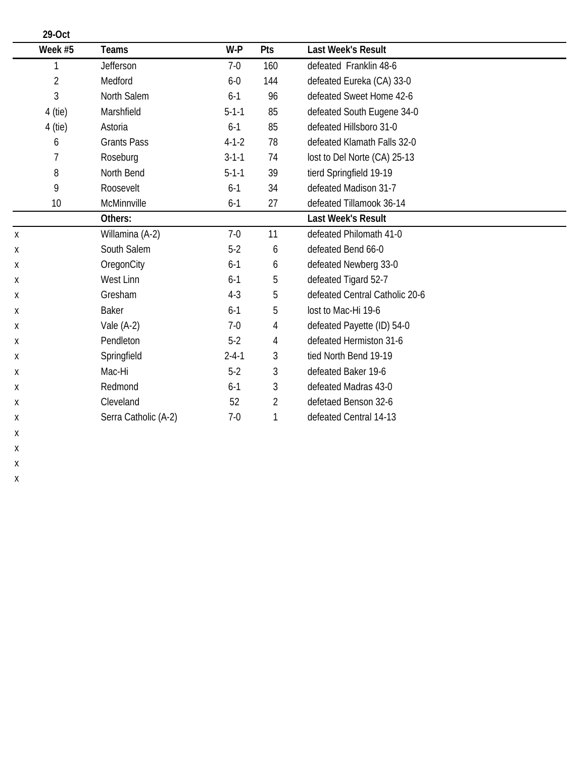| 29-Oct         |                      |             |                |                                |
|----------------|----------------------|-------------|----------------|--------------------------------|
| Week #5        | Teams                | W-P         | Pts            | <b>Last Week's Result</b>      |
|                | Jefferson            | $7-0$       | 160            | defeated Franklin 48-6         |
| $\overline{2}$ | Medford              | $6-0$       | 144            | defeated Eureka (CA) 33-0      |
| 3              | North Salem          | $6-1$       | 96             | defeated Sweet Home 42-6       |
| 4 (tie)        | Marshfield           | $5 - 1 - 1$ | 85             | defeated South Eugene 34-0     |
| $4$ (tie)      | Astoria              | $6 - 1$     | 85             | defeated Hillsboro 31-0        |
| 6              | <b>Grants Pass</b>   | $4 - 1 - 2$ | 78             | defeated Klamath Falls 32-0    |
| 7              | Roseburg             | $3 - 1 - 1$ | 74             | lost to Del Norte (CA) 25-13   |
| 8              | North Bend           | $5 - 1 - 1$ | 39             | tierd Springfield 19-19        |
| 9              | Roosevelt            | $6 - 1$     | 34             | defeated Madison 31-7          |
| 10             | McMinnville          | $6 - 1$     | 27             | defeated Tillamook 36-14       |
|                | Others:              |             |                | <b>Last Week's Result</b>      |
| Χ              | Willamina (A-2)      | $7-0$       | 11             | defeated Philomath 41-0        |
| Χ              | South Salem          | $5-2$       | 6              | defeated Bend 66-0             |
| Χ              | OregonCity           | $6-1$       | 6              | defeated Newberg 33-0          |
| Χ              | West Linn            | $6-1$       | 5              | defeated Tigard 52-7           |
| Х              | Gresham              | $4 - 3$     | 5              | defeated Central Catholic 20-6 |
| Χ              | <b>Baker</b>         | $6-1$       | 5              | lost to Mac-Hi 19-6            |
| Х              | Vale $(A-2)$         | $7-0$       | 4              | defeated Payette (ID) 54-0     |
| Х              | Pendleton            | $5-2$       | 4              | defeated Hermiston 31-6        |
| Χ              | Springfield          | $2 - 4 - 1$ | 3              | tied North Bend 19-19          |
| Х              | Mac-Hi               | $5-2$       | 3              | defeated Baker 19-6            |
| Х              | Redmond              | $6-1$       | 3              | defeated Madras 43-0           |
| Χ              | Cleveland            | 52          | $\overline{2}$ | defetaed Benson 32-6           |
| Χ              | Serra Catholic (A-2) | $7-0$       | 1              | defeated Central 14-13         |
| х              |                      |             |                |                                |

x x x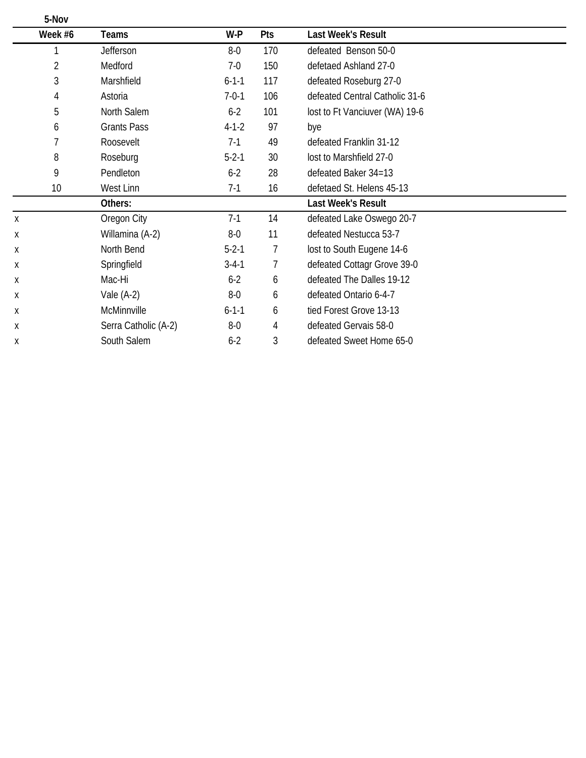|   | 5-Nov   |                      |             |                |                                |  |
|---|---------|----------------------|-------------|----------------|--------------------------------|--|
|   | Week #6 | <b>Teams</b>         | W-P         | Pts            | <b>Last Week's Result</b>      |  |
|   |         | <b>Jefferson</b>     | $8-0$       | 170            | defeated Benson 50-0           |  |
|   | 2       | Medford              | $7-0$       | 150            | defetaed Ashland 27-0          |  |
|   | 3       | Marshfield           | $6 - 1 - 1$ | 117            | defeated Roseburg 27-0         |  |
|   | 4       | Astoria              | $7 - 0 - 1$ | 106            | defeated Central Catholic 31-6 |  |
|   | 5       | North Salem          | $6 - 2$     | 101            | lost to Ft Vanciuver (WA) 19-6 |  |
|   | 6       | <b>Grants Pass</b>   | $4 - 1 - 2$ | 97             | bye                            |  |
|   |         | Roosevelt            | $7-1$       | 49             | defeated Franklin 31-12        |  |
|   | 8       | Roseburg             | $5 - 2 - 1$ | 30             | lost to Marshfield 27-0        |  |
|   | 9       | Pendleton            | $6 - 2$     | 28             | defeated Baker 34=13           |  |
|   | 10      | West Linn            | $7-1$       | 16             | defetaed St. Helens 45-13      |  |
|   |         | Others:              |             |                | <b>Last Week's Result</b>      |  |
| Χ |         | Oregon City          | $7-1$       | 14             | defeated Lake Oswego 20-7      |  |
| Х |         | Willamina (A-2)      | $8-0$       | 11             | defeated Nestucca 53-7         |  |
| Х |         | North Bend           | $5 - 2 - 1$ | $\overline{7}$ | lost to South Eugene 14-6      |  |
| Χ |         | Springfield          | $3 - 4 - 1$ | 7              | defeated Cottagr Grove 39-0    |  |
| Х |         | Mac-Hi               | $6 - 2$     | 6              | defeated The Dalles 19-12      |  |
| Х |         | Vale $(A-2)$         | $8-0$       | 6              | defeated Ontario 6-4-7         |  |
| Χ |         | McMinnville          | $6 - 1 - 1$ | 6              | tied Forest Grove 13-13        |  |
| Χ |         | Serra Catholic (A-2) | $8-0$       | 4              | defeated Gervais 58-0          |  |
| X |         | South Salem          | $6 - 2$     | 3              | defeated Sweet Home 65-0       |  |
|   |         |                      |             |                |                                |  |